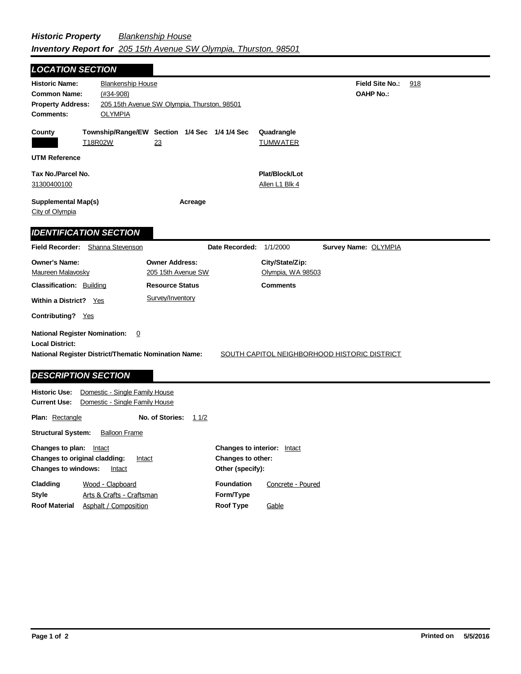| <b>LOCATION SECTION</b>                                                                                                                                                            |                                                                                           |                                                         |                                            |     |  |
|------------------------------------------------------------------------------------------------------------------------------------------------------------------------------------|-------------------------------------------------------------------------------------------|---------------------------------------------------------|--------------------------------------------|-----|--|
| <b>Historic Name:</b><br><b>Blankenship House</b><br>$(#34 - 908)$<br><b>Common Name:</b><br><b>Property Address:</b><br><b>Comments:</b><br><b>OLYMPIA</b>                        | 205 15th Avenue SW Olympia, Thurston, 98501                                               |                                                         | <b>Field Site No.:</b><br><b>OAHP No.:</b> | 918 |  |
| County<br>T18R02W                                                                                                                                                                  | Township/Range/EW Section 1/4 Sec 1/4 1/4 Sec<br>23                                       | Quadrangle<br><b>TUMWATER</b>                           |                                            |     |  |
| <b>UTM Reference</b>                                                                                                                                                               |                                                                                           |                                                         |                                            |     |  |
| Tax No./Parcel No.<br>31300400100                                                                                                                                                  |                                                                                           | Plat/Block/Lot<br>Allen L1 Blk 4                        |                                            |     |  |
| <b>Supplemental Map(s)</b><br>City of Olympia                                                                                                                                      | Acreage                                                                                   |                                                         |                                            |     |  |
| <b>IDENTIFICATION SECTION</b>                                                                                                                                                      |                                                                                           |                                                         |                                            |     |  |
| Field Recorder: Shanna Stevenson                                                                                                                                                   |                                                                                           | Date Recorded: 1/1/2000                                 | Survey Name: OLYMPIA                       |     |  |
| <b>Owner's Name:</b><br>Maureen Malavosky<br><b>Classification: Building</b>                                                                                                       | <b>Owner Address:</b><br>205 15th Avenue SW<br><b>Resource Status</b><br>Survey/Inventory | City/State/Zip:<br>Olympia, WA 98503<br><b>Comments</b> |                                            |     |  |
| Within a District? Yes<br>Contributing? Yes                                                                                                                                        |                                                                                           |                                                         |                                            |     |  |
| <b>National Register Nomination:</b><br>0<br><b>Local District:</b><br><b>National Register District/Thematic Nomination Name:</b><br>SOUTH CAPITOL NEIGHBORHOOD HISTORIC DISTRICT |                                                                                           |                                                         |                                            |     |  |
| <b>DESCRIPTION SECTION</b>                                                                                                                                                         |                                                                                           |                                                         |                                            |     |  |
| Domestic - Single Family House<br><b>Historic Use:</b><br><b>Current Use:</b><br>Domestic - Single Family House                                                                    |                                                                                           |                                                         |                                            |     |  |
| Plan: Rectangle                                                                                                                                                                    | No. of Stories:<br>11/2                                                                   |                                                         |                                            |     |  |
| <b>Structural System:</b><br><b>Balloon Frame</b>                                                                                                                                  |                                                                                           |                                                         |                                            |     |  |
| <b>Changes to plan:</b> Intact<br>Obenine to existent electricity of the con-                                                                                                      |                                                                                           | <b>Changes to interior:</b> Intact<br>Ohanasa ta athan  |                                            |     |  |

| <b>Changes to original cladding:</b><br><b>Changes to windows:</b> | Intact<br>Intact          | Changes to other:<br>Other (specify): |                   |
|--------------------------------------------------------------------|---------------------------|---------------------------------------|-------------------|
| Cladding                                                           | Wood - Clapboard          | <b>Foundation</b>                     | Concrete - Poured |
| Style                                                              | Arts & Crafts - Craftsman | Form/Type                             |                   |
| <b>Roof Material</b>                                               | Asphalt / Composition     | Roof Type                             | Gable             |